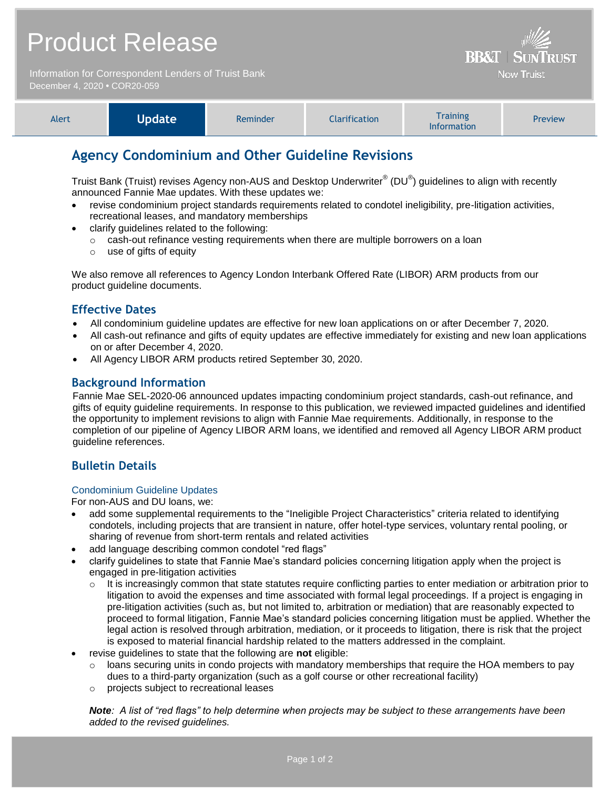| <b>Product Release</b>                               | $\frac{1}{2}$<br><b>BB&amp;T   SUNTRUST</b> |
|------------------------------------------------------|---------------------------------------------|
| Information for Correspondent Lenders of Truist Bank | Now Truist                                  |
| December 4, 2020 • COR20-059                         |                                             |

| Alert | Update <sup>1</sup> | Reminder | Clarification <sup>1</sup> | <b>Training</b><br><b>Information</b> | Preview |
|-------|---------------------|----------|----------------------------|---------------------------------------|---------|
|-------|---------------------|----------|----------------------------|---------------------------------------|---------|

# **Agency Condominium and Other Guideline Revisions**

Truist Bank (Truist) revises Agency non-AUS and Desktop Underwriter® (DU®) guidelines to align with recently announced Fannie Mae updates. With these updates we:

- revise condominium project standards requirements related to condotel ineligibility, pre-litigation activities, recreational leases, and mandatory memberships
- clarify guidelines related to the following:
	- $\circ$  cash-out refinance vesting requirements when there are multiple borrowers on a loan
	- o use of gifts of equity

We also remove all references to Agency London Interbank Offered Rate (LIBOR) ARM products from our product guideline documents.

# **Effective Dates**

- All condominium guideline updates are effective for new loan applications on or after December 7, 2020.
- All cash-out refinance and gifts of equity updates are effective immediately for existing and new loan applications on or after December 4, 2020.
- All Agency LIBOR ARM products retired September 30, 2020.

# **Background Information**

Fannie Mae SEL-2020-06 announced updates impacting condominium project standards, cash-out refinance, and gifts of equity guideline requirements. In response to this publication, we reviewed impacted guidelines and identified the opportunity to implement revisions to align with Fannie Mae requirements. Additionally, in response to the completion of our pipeline of Agency LIBOR ARM loans, we identified and removed all Agency LIBOR ARM product guideline references.

# **Bulletin Details**

#### Condominium Guideline Updates

For non-AUS and DU loans, we:

- add some supplemental requirements to the "Ineligible Project Characteristics" criteria related to identifying condotels, including projects that are transient in nature, offer hotel-type services, voluntary rental pooling, or sharing of revenue from short-term rentals and related activities
- add language describing common condotel "red flags"
- clarify guidelines to state that Fannie Mae's standard policies concerning litigation apply when the project is engaged in pre-litigation activities
	- $\circ$  It is increasingly common that state statutes require conflicting parties to enter mediation or arbitration prior to litigation to avoid the expenses and time associated with formal legal proceedings. If a project is engaging in pre-litigation activities (such as, but not limited to, arbitration or mediation) that are reasonably expected to proceed to formal litigation, Fannie Mae's standard policies concerning litigation must be applied. Whether the legal action is resolved through arbitration, mediation, or it proceeds to litigation, there is risk that the project is exposed to material financial hardship related to the matters addressed in the complaint.
- revise guidelines to state that the following are **not** eligible:
	- $\circ$  loans securing units in condo projects with mandatory memberships that require the HOA members to pay dues to a third-party organization (such as a golf course or other recreational facility)
	- o projects subject to recreational leases

*Note: A list of "red flags" to help determine when projects may be subject to these arrangements have been added to the revised guidelines.*